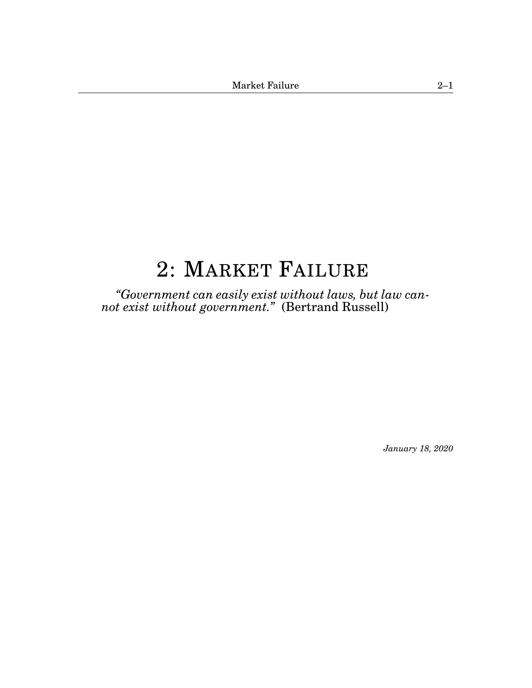# <span id="page-0-1"></span><span id="page-0-0"></span>[2:](#page-0-0) MARKET FAILURE

*"Government can easily exist without laws, but law cannot exist without government."* (Bertrand Russell)

*January 18, 2020*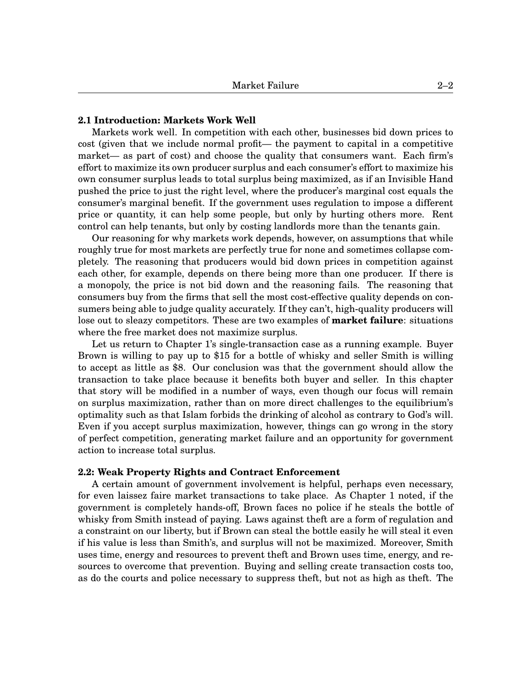# **2.1 Introduction: Markets Work Well**

Markets work well. In competition with each other, businesses bid down prices to cost (given that we include normal profit— the payment to capital in a competitive market— as part of cost) and choose the quality that consumers want. Each firm's effort to maximize its own producer surplus and each consumer's effort to maximize his own consumer surplus leads to total surplus being maximized, as if an Invisible Hand pushed the price to just the right level, where the producer's marginal cost equals the consumer's marginal benefit. If the government uses regulation to impose a different price or quantity, it can help some people, but only by hurting others more. Rent control can help tenants, but only by costing landlords more than the tenants gain.

Our reasoning for why markets work depends, however, on assumptions that while roughly true for most markets are perfectly true for none and sometimes collapse completely. The reasoning that producers would bid down prices in competition against each other, for example, depends on there being more than one producer. If there is a monopoly, the price is not bid down and the reasoning fails. The reasoning that consumers buy from the firms that sell the most cost-effective quality depends on consumers being able to judge quality accurately. If they can't, high-quality producers will lose out to sleazy competitors. These are two examples of **market failure**: situations where the free market does not maximize surplus.

Let us return to Chapter 1's single-transaction case as a running example. Buyer Brown is willing to pay up to \$15 for a bottle of whisky and seller Smith is willing to accept as little as \$8. Our conclusion was that the government should allow the transaction to take place because it benefits both buyer and seller. In this chapter that story will be modified in a number of ways, even though our focus will remain on surplus maximization, rather than on more direct challenges to the equilibrium's optimality such as that Islam forbids the drinking of alcohol as contrary to God's will. Even if you accept surplus maximization, however, things can go wrong in the story of perfect competition, generating market failure and an opportunity for government action to increase total surplus.

# **2.2: Weak Property Rights and Contract Enforcement**

A certain amount of government involvement is helpful, perhaps even necessary, for even laissez faire market transactions to take place. As Chapter 1 noted, if the government is completely hands-off, Brown faces no police if he steals the bottle of whisky from Smith instead of paying. Laws against theft are a form of regulation and a constraint on our liberty, but if Brown can steal the bottle easily he will steal it even if his value is less than Smith's, and surplus will not be maximized. Moreover, Smith uses time, energy and resources to prevent theft and Brown uses time, energy, and resources to overcome that prevention. Buying and selling create transaction costs too, as do the courts and police necessary to suppress theft, but not as high as theft. The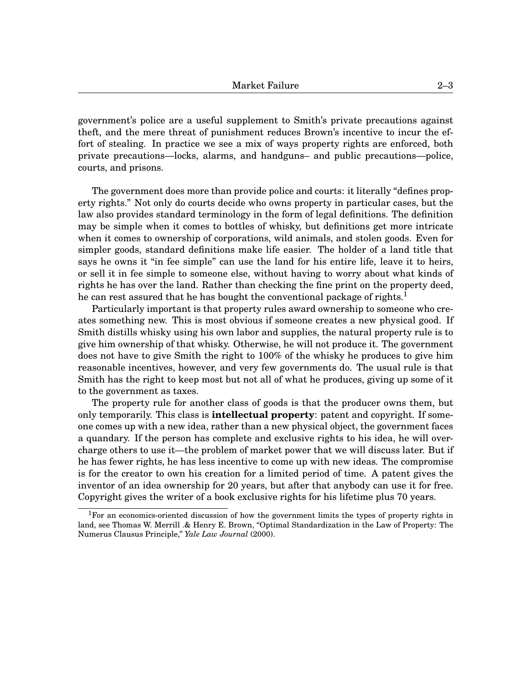government's police are a useful supplement to Smith's private precautions against theft, and the mere threat of punishment reduces Brown's incentive to incur the effort of stealing. In practice we see a mix of ways property rights are enforced, both private precautions—locks, alarms, and handguns– and public precautions—police, courts, and prisons.

The government does more than provide police and courts: it literally "defines property rights." Not only do courts decide who owns property in particular cases, but the law also provides standard terminology in the form of legal definitions. The definition may be simple when it comes to bottles of whisky, but definitions get more intricate when it comes to ownership of corporations, wild animals, and stolen goods. Even for simpler goods, standard definitions make life easier. The holder of a land title that says he owns it "in fee simple" can use the land for his entire life, leave it to heirs, or sell it in fee simple to someone else, without having to worry about what kinds of rights he has over the land. Rather than checking the fine print on the property deed, he can rest assured that he has bought the conventional package of rights.<sup>[1](#page-0-1)</sup>

Particularly important is that property rules award ownership to someone who creates something new. This is most obvious if someone creates a new physical good. If Smith distills whisky using his own labor and supplies, the natural property rule is to give him ownership of that whisky. Otherwise, he will not produce it. The government does not have to give Smith the right to 100% of the whisky he produces to give him reasonable incentives, however, and very few governments do. The usual rule is that Smith has the right to keep most but not all of what he produces, giving up some of it to the government as taxes.

The property rule for another class of goods is that the producer owns them, but only temporarily. This class is **intellectual property**: patent and copyright. If someone comes up with a new idea, rather than a new physical object, the government faces a quandary. If the person has complete and exclusive rights to his idea, he will overcharge others to use it—the problem of market power that we will discuss later. But if he has fewer rights, he has less incentive to come up with new ideas. The compromise is for the creator to own his creation for a limited period of time. A patent gives the inventor of an idea ownership for 20 years, but after that anybody can use it for free. Copyright gives the writer of a book exclusive rights for his lifetime plus 70 years.

<sup>&</sup>lt;sup>1</sup>For an economics-oriented discussion of how the government limits the types of property rights in land, see Thomas W. Merrill .& Henry E. Brown, "Optimal Standardization in the Law of Property: The Numerus Clausus Principle," *Yale Law Journal* (2000).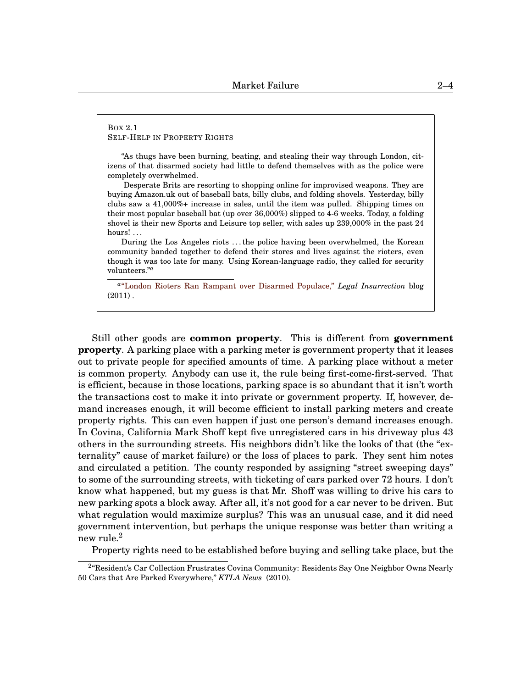### <span id="page-3-0"></span>BOX 2[.1](#page-3-0) SELF-HELP IN PROPERTY RIGHTS

"As thugs have been burning, beating, and stealing their way through London, citizens of that disarmed society had little to defend themselves with as the police were completely overwhelmed.

Desperate Brits are resorting to shopping online for improvised weapons. They are buying Amazon.uk out of baseball bats, billy clubs, and folding shovels. Yesterday, billy clubs saw a 41,000%+ increase in sales, until the item was pulled. Shipping times on their most popular baseball bat (up over 36,000%) slipped to 4-6 weeks. Today, a folding shovel is their new Sports and Leisure top seller, with sales up 239,000% in the past 24 hours! ...

During the Los Angeles riots . . . the police having been overwhelmed, the Korean community banded together to defend their stores and lives against the rioters, even though it was too late for many. Using Korean-language radio, they called for security volunteers."*[a](#page-0-1)*

*a* ["London Rioters Ran Rampant over Disarmed Populace,"](http://legalinsurrection.com/2011/08/london-rioters-ran-rampant-over-disarmed-populace/) *Legal Insurrection* blog  $(2011)$ .

Still other goods are **common property**. This is different from **government property**. A parking place with a parking meter is government property that it leases out to private people for specified amounts of time. A parking place without a meter is common property. Anybody can use it, the rule being first-come-first-served. That is efficient, because in those locations, parking space is so abundant that it isn't worth the transactions cost to make it into private or government property. If, however, demand increases enough, it will become efficient to install parking meters and create property rights. This can even happen if just one person's demand increases enough. In Covina, California Mark Shoff kept five unregistered cars in his driveway plus 43 others in the surrounding streets. His neighbors didn't like the looks of that (the "externality" cause of market failure) or the loss of places to park. They sent him notes and circulated a petition. The county responded by assigning "street sweeping days" to some of the surrounding streets, with ticketing of cars parked over 72 hours. I don't know what happened, but my guess is that Mr. Shoff was willing to drive his cars to new parking spots a block away. After all, it's not good for a car never to be driven. But what regulation would maximize surplus? This was an unusual case, and it did need government intervention, but perhaps the unique response was better than writing a new rule. $^2$  $^2$ 

Property rights need to be established before buying and selling take place, but the

<sup>&</sup>lt;sup>2</sup>"Resident's Car Collection Frustrates Covina Community: Residents Say One Neighbor Owns Nearly 50 Cars that Are Parked Everywhere," *KTLA News* (2010).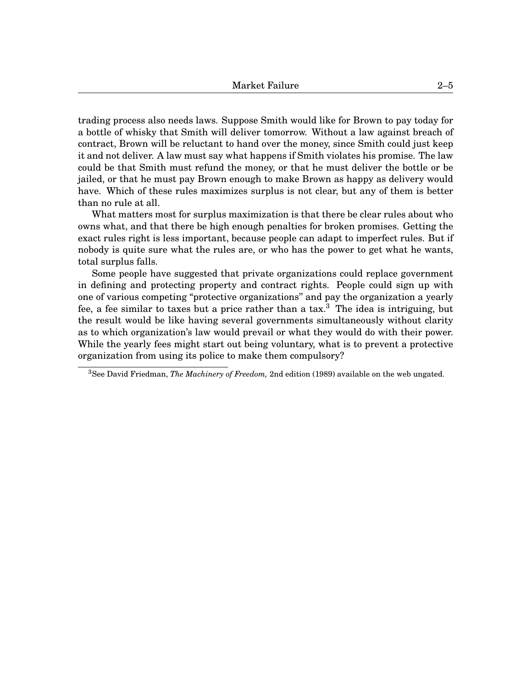trading process also needs laws. Suppose Smith would like for Brown to pay today for a bottle of whisky that Smith will deliver tomorrow. Without a law against breach of contract, Brown will be reluctant to hand over the money, since Smith could just keep it and not deliver. A law must say what happens if Smith violates his promise. The law could be that Smith must refund the money, or that he must deliver the bottle or be jailed, or that he must pay Brown enough to make Brown as happy as delivery would have. Which of these rules maximizes surplus is not clear, but any of them is better than no rule at all.

What matters most for surplus maximization is that there be clear rules about who owns what, and that there be high enough penalties for broken promises. Getting the exact rules right is less important, because people can adapt to imperfect rules. But if nobody is quite sure what the rules are, or who has the power to get what he wants, total surplus falls.

Some people have suggested that private organizations could replace government in defining and protecting property and contract rights. People could sign up with one of various competing "protective organizations'' and pay the organization a yearly fee, a fee similar to taxes but a price rather than a  $\text{tax.}^3$  $\text{tax.}^3$ . The idea is intriguing, but the result would be like having several governments simultaneously without clarity as to which organization's law would prevail or what they would do with their power. While the yearly fees might start out being voluntary, what is to prevent a protective organization from using its police to make them compulsory?

<sup>3</sup>See David Friedman, *The Machinery of Freedom,* 2nd edition (1989) available on the web ungated.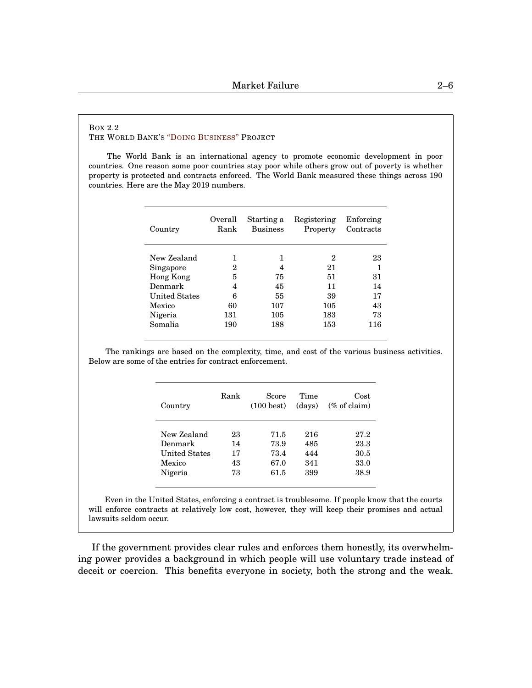### <span id="page-5-0"></span>BOX 2[.2](#page-5-0) THE WORLD BANK'S "DOING B[USINESS](http://www.doingbusiness.org)" PROJECT

The World Bank is an international agency to promote economic development in poor countries. One reason some poor countries stay poor while others grow out of poverty is whether property is protected and contracts enforced. The World Bank measured these things across 190 countries. Here are the May 2019 numbers.

| Country              | Overall<br>Rank | Starting a<br><b>Business</b> | Registering<br>Property | Enforcing<br>Contracts |
|----------------------|-----------------|-------------------------------|-------------------------|------------------------|
|                      |                 |                               |                         |                        |
| New Zealand          |                 | 1                             | 2                       | 23                     |
| Singapore            | 2               | 4                             | 21                      |                        |
| <b>Hong Kong</b>     | 5               | 75                            | 51                      | 31                     |
| Denmark              | 4               | 45                            | 11                      | 14                     |
| <b>United States</b> | 6               | 55                            | 39                      | 17                     |
| Mexico               | 60              | 107                           | 105                     | 43                     |
| Nigeria              | 131             | 105                           | 183                     | 73                     |
| Somalia              | 190             | 188                           | 153                     | 116                    |

The rankings are based on the complexity, time, and cost of the various business activities. Below are some of the entries for contract enforcement.

| Country       | Rank | Score<br>$(100 \text{ best})$ | Time<br>(days) | Cost<br>$(\%$ of claim) |
|---------------|------|-------------------------------|----------------|-------------------------|
| New Zealand   | 23   | 71.5                          | 216            | 27.2                    |
| Denmark       | 14   | 73.9                          | 485            | 23.3                    |
| United States | 17   | 73.4                          | 444            | 30.5                    |
| Mexico        | 43   | 67.0                          | 341            | 33.0                    |
| Nigeria       | 73   | 61.5                          | 399            | 38.9                    |

Even in the United States, enforcing a contract is troublesome. If people know that the courts will enforce contracts at relatively low cost, however, they will keep their promises and actual lawsuits seldom occur.

If the government provides clear rules and enforces them honestly, its overwhelming power provides a background in which people will use voluntary trade instead of deceit or coercion. This benefits everyone in society, both the strong and the weak.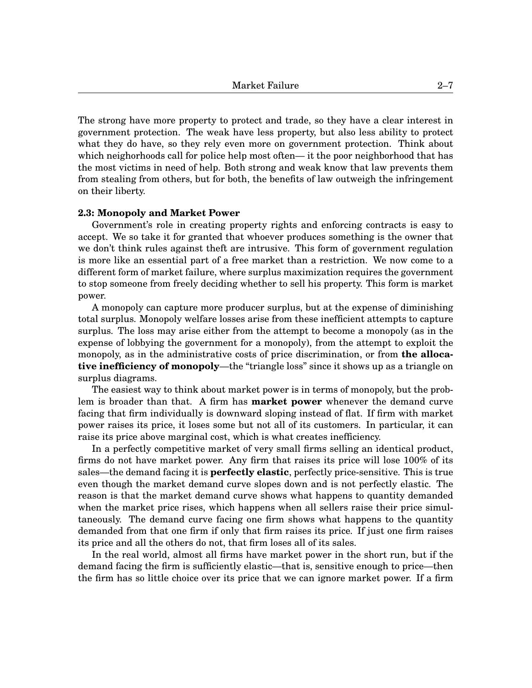The strong have more property to protect and trade, so they have a clear interest in government protection. The weak have less property, but also less ability to protect what they do have, so they rely even more on government protection. Think about which neighorhoods call for police help most often— it the poor neighborhood that has the most victims in need of help. Both strong and weak know that law prevents them from stealing from others, but for both, the benefits of law outweigh the infringement on their liberty.

## **2.3: Monopoly and Market Power**

Government's role in creating property rights and enforcing contracts is easy to accept. We so take it for granted that whoever produces something is the owner that we don't think rules against theft are intrusive. This form of government regulation is more like an essential part of a free market than a restriction. We now come to a different form of market failure, where surplus maximization requires the government to stop someone from freely deciding whether to sell his property. This form is market power.

A monopoly can capture more producer surplus, but at the expense of diminishing total surplus. Monopoly welfare losses arise from these inefficient attempts to capture surplus. The loss may arise either from the attempt to become a monopoly (as in the expense of lobbying the government for a monopoly), from the attempt to exploit the monopoly, as in the administrative costs of price discrimination, or from **the allocative inefficiency of monopoly**—the "triangle loss" since it shows up as a triangle on surplus diagrams.

The easiest way to think about market power is in terms of monopoly, but the problem is broader than that. A firm has **market power** whenever the demand curve facing that firm individually is downward sloping instead of flat. If firm with market power raises its price, it loses some but not all of its customers. In particular, it can raise its price above marginal cost, which is what creates inefficiency.

In a perfectly competitive market of very small firms selling an identical product, firms do not have market power. Any firm that raises its price will lose 100% of its sales—the demand facing it is **perfectly elastic**, perfectly price-sensitive. This is true even though the market demand curve slopes down and is not perfectly elastic. The reason is that the market demand curve shows what happens to quantity demanded when the market price rises, which happens when all sellers raise their price simultaneously. The demand curve facing one firm shows what happens to the quantity demanded from that one firm if only that firm raises its price. If just one firm raises its price and all the others do not, that firm loses all of its sales.

In the real world, almost all firms have market power in the short run, but if the demand facing the firm is sufficiently elastic—that is, sensitive enough to price—then the firm has so little choice over its price that we can ignore market power. If a firm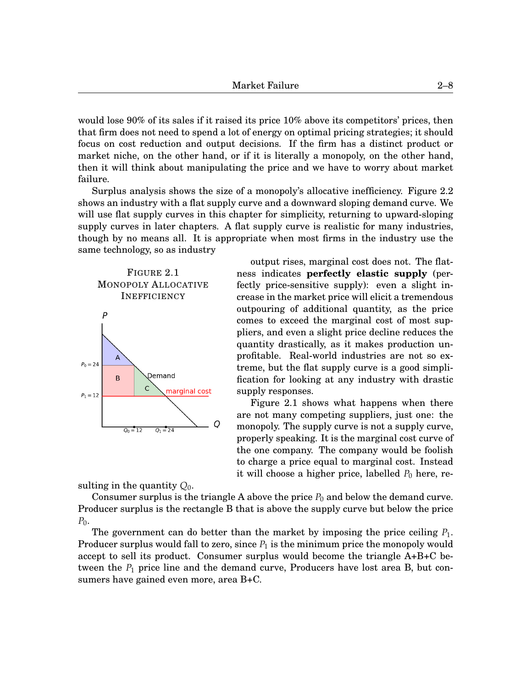would lose 90% of its sales if it raised its price 10% above its competitors' prices, then that firm does not need to spend a lot of energy on optimal pricing strategies; it should focus on cost reduction and output decisions. If the firm has a distinct product or market niche, on the other hand, or if it is literally a monopoly, on the other hand, then it will think about manipulating the price and we have to worry about market failure.

Surplus analysis shows the size of a monopoly's allocative inefficiency. Figure 2.2 shows an industry with a flat supply curve and a downward sloping demand curve. We will use flat supply curves in this chapter for simplicity, returning to upward-sloping supply curves in later chapters. A flat supply curve is realistic for many industries, though by no means all. It is appropriate when most firms in the industry use the same technology, so as industry



output rises, marginal cost does not. The flatness indicates **perfectly elastic supply** (perfectly price-sensitive supply): even a slight increase in the market price will elicit a tremendous outpouring of additional quantity, as the price comes to exceed the marginal cost of most suppliers, and even a slight price decline reduces the quantity drastically, as it makes production unprofitable. Real-world industries are not so extreme, but the flat supply curve is a good simplification for looking at any industry with drastic supply responses.

Figure 2[.1](#page-7-0) shows what happens when there are not many competing suppliers, just one: the monopoly. The supply curve is not a supply curve, properly speaking. It is the marginal cost curve of the one company. The company would be foolish to charge a price equal to marginal cost. Instead it will choose a higher price, labelled  $P_0$  here, re-

<span id="page-7-0"></span>sulting in the quantity *Q*0.

Consumer surplus is the triangle A above the price  $P_0$  and below the demand curve. Producer surplus is the rectangle B that is above the supply curve but below the price  $P_0$ .

The government can do better than the market by imposing the price ceiling  $P_1$ . Producer surplus would fall to zero, since  $P_1$  is the minimum price the monopoly would accept to sell its product. Consumer surplus would become the triangle A+B+C between the  $P_1$  price line and the demand curve, Producers have lost area B, but consumers have gained even more, area B+C.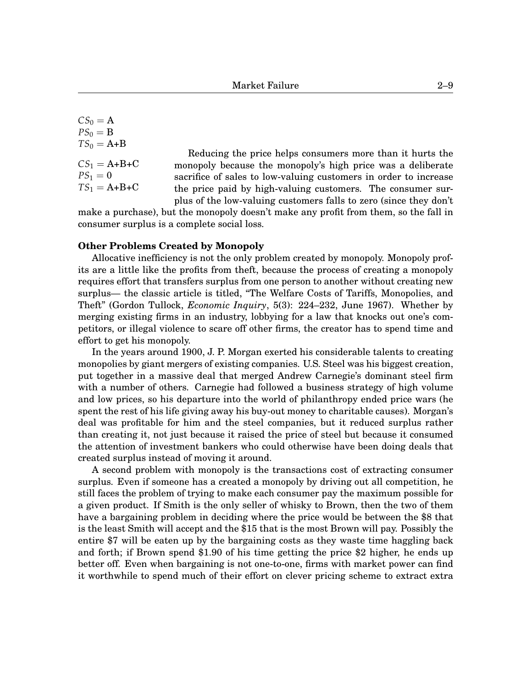$CS_0 = A$  $PS_0 = B$  $TS_0 = A + B$  $CS_1 = A + B + C$  $PS_1 = 0$  $TS_1 = A + B + C$ 

Reducing the price helps consumers more than it hurts the monopoly because the monopoly's high price was a deliberate sacrifice of sales to low-valuing customers in order to increase the price paid by high-valuing customers. The consumer surplus of the low-valuing customers falls to zero (since they don't

make a purchase), but the monopoly doesn't make any profit from them, so the fall in consumer surplus is a complete social loss.

## **Other Problems Created by Monopoly**

Allocative inefficiency is not the only problem created by monopoly. Monopoly profits are a little like the profits from theft, because the process of creating a monopoly requires effort that transfers surplus from one person to another without creating new surplus— the classic article is titled, "The Welfare Costs of Tariffs, Monopolies, and Theft" (Gordon Tullock, *Economic Inquiry*, 5(3): 224–232, June 1967). Whether by merging existing firms in an industry, lobbying for a law that knocks out one's competitors, or illegal violence to scare off other firms, the creator has to spend time and effort to get his monopoly.

In the years around 1900, J. P. Morgan exerted his considerable talents to creating monopolies by giant mergers of existing companies. U.S. Steel was his biggest creation, put together in a massive deal that merged Andrew Carnegie's dominant steel firm with a number of others. Carnegie had followed a business strategy of high volume and low prices, so his departure into the world of philanthropy ended price wars (he spent the rest of his life giving away his buy-out money to charitable causes). Morgan's deal was profitable for him and the steel companies, but it reduced surplus rather than creating it, not just because it raised the price of steel but because it consumed the attention of investment bankers who could otherwise have been doing deals that created surplus instead of moving it around.

A second problem with monopoly is the transactions cost of extracting consumer surplus. Even if someone has a created a monopoly by driving out all competition, he still faces the problem of trying to make each consumer pay the maximum possible for a given product. If Smith is the only seller of whisky to Brown, then the two of them have a bargaining problem in deciding where the price would be between the \$8 that is the least Smith will accept and the \$15 that is the most Brown will pay. Possibly the entire \$7 will be eaten up by the bargaining costs as they waste time haggling back and forth; if Brown spend \$1.90 of his time getting the price \$2 higher, he ends up better off. Even when bargaining is not one-to-one, firms with market power can find it worthwhile to spend much of their effort on clever pricing scheme to extract extra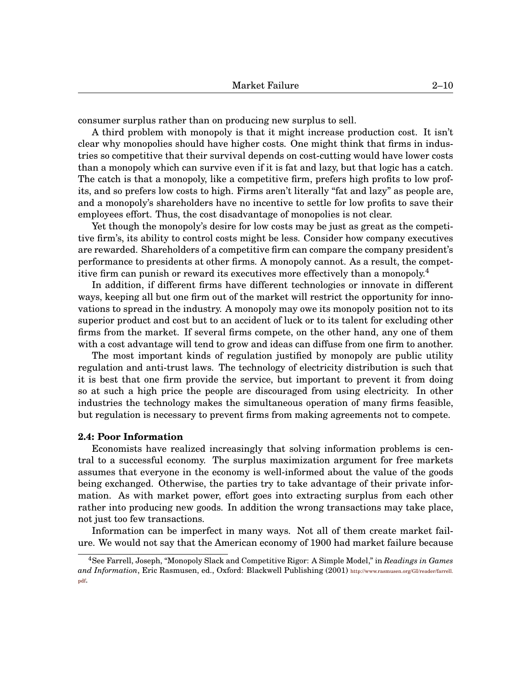consumer surplus rather than on producing new surplus to sell.

A third problem with monopoly is that it might increase production cost. It isn't clear why monopolies should have higher costs. One might think that firms in industries so competitive that their survival depends on cost-cutting would have lower costs than a monopoly which can survive even if it is fat and lazy, but that logic has a catch. The catch is that a monopoly, like a competitive firm, prefers high profits to low profits, and so prefers low costs to high. Firms aren't literally "fat and lazy" as people are, and a monopoly's shareholders have no incentive to settle for low profits to save their employees effort. Thus, the cost disadvantage of monopolies is not clear.

Yet though the monopoly's desire for low costs may be just as great as the competitive firm's, its ability to control costs might be less. Consider how company executives are rewarded. Shareholders of a competitive firm can compare the company president's performance to presidents at other firms. A monopoly cannot. As a result, the compet-itive firm can punish or reward its executives more effectively than a monopoly.<sup>[4](#page-0-1)</sup>

In addition, if different firms have different technologies or innovate in different ways, keeping all but one firm out of the market will restrict the opportunity for innovations to spread in the industry. A monopoly may owe its monopoly position not to its superior product and cost but to an accident of luck or to its talent for excluding other firms from the market. If several firms compete, on the other hand, any one of them with a cost advantage will tend to grow and ideas can diffuse from one firm to another.

The most important kinds of regulation justified by monopoly are public utility regulation and anti-trust laws. The technology of electricity distribution is such that it is best that one firm provide the service, but important to prevent it from doing so at such a high price the people are discouraged from using electricity. In other industries the technology makes the simultaneous operation of many firms feasible, but regulation is necessary to prevent firms from making agreements not to compete.

## **2.4: Poor Information**

Economists have realized increasingly that solving information problems is central to a successful economy. The surplus maximization argument for free markets assumes that everyone in the economy is well-informed about the value of the goods being exchanged. Otherwise, the parties try to take advantage of their private information. As with market power, effort goes into extracting surplus from each other rather into producing new goods. In addition the wrong transactions may take place, not just too few transactions.

Information can be imperfect in many ways. Not all of them create market failure. We would not say that the American economy of 1900 had market failure because

<sup>4</sup>See Farrell, Joseph, "Monopoly Slack and Competitive Rigor: A Simple Model," in *Readings in Games and Information*, Eric Rasmusen, ed., Oxford: Blackwell Publishing (2001) [http://www.rasmusen.org/GI/reader/farrell.](http://www.rasmusen.org/GI/reader/farrell.pdf) [pdf](http://www.rasmusen.org/GI/reader/farrell.pdf).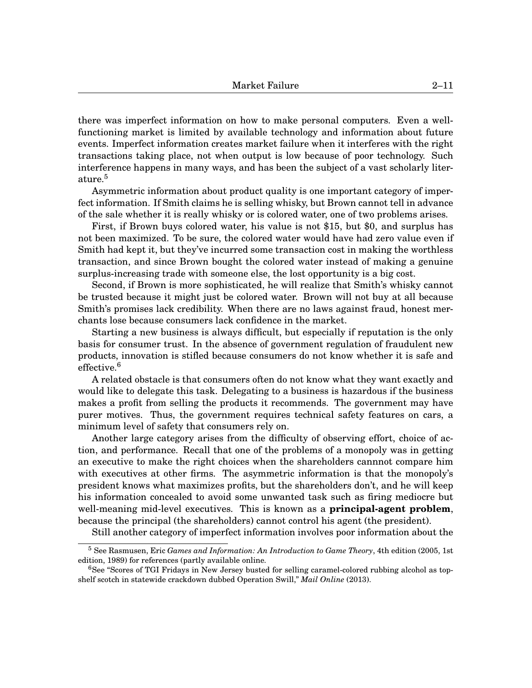there was imperfect information on how to make personal computers. Even a wellfunctioning market is limited by available technology and information about future events. Imperfect information creates market failure when it interferes with the right transactions taking place, not when output is low because of poor technology. Such interference happens in many ways, and has been the subject of a vast scholarly liter- $ature.<sup>5</sup>$  $ature.<sup>5</sup>$  $ature.<sup>5</sup>$ 

Asymmetric information about product quality is one important category of imperfect information. If Smith claims he is selling whisky, but Brown cannot tell in advance of the sale whether it is really whisky or is colored water, one of two problems arises.

First, if Brown buys colored water, his value is not \$15, but \$0, and surplus has not been maximized. To be sure, the colored water would have had zero value even if Smith had kept it, but they've incurred some transaction cost in making the worthless transaction, and since Brown bought the colored water instead of making a genuine surplus-increasing trade with someone else, the lost opportunity is a big cost.

Second, if Brown is more sophisticated, he will realize that Smith's whisky cannot be trusted because it might just be colored water. Brown will not buy at all because Smith's promises lack credibility. When there are no laws against fraud, honest merchants lose because consumers lack confidence in the market.

Starting a new business is always difficult, but especially if reputation is the only basis for consumer trust. In the absence of government regulation of fraudulent new products, innovation is stifled because consumers do not know whether it is safe and effective.[6](#page-0-1)

A related obstacle is that consumers often do not know what they want exactly and would like to delegate this task. Delegating to a business is hazardous if the business makes a profit from selling the products it recommends. The government may have purer motives. Thus, the government requires technical safety features on cars, a minimum level of safety that consumers rely on.

Another large category arises from the difficulty of observing effort, choice of action, and performance. Recall that one of the problems of a monopoly was in getting an executive to make the right choices when the shareholders cannnot compare him with executives at other firms. The asymmetric information is that the monopoly's president knows what maximizes profits, but the shareholders don't, and he will keep his information concealed to avoid some unwanted task such as firing mediocre but well-meaning mid-level executives. This is known as a **principal-agent problem**, because the principal (the shareholders) cannot control his agent (the president).

Still another category of imperfect information involves poor information about the

<sup>5</sup> See Rasmusen, Eric *Games and Information: An Introduction to Game Theory*, 4th edition (2005, 1st edition, 1989) for references (partly available online.

<sup>6</sup>See "Scores of TGI Fridays in New Jersey busted for selling caramel-colored rubbing alcohol as topshelf scotch in statewide crackdown dubbed Operation Swill," *Mail Online* (2013).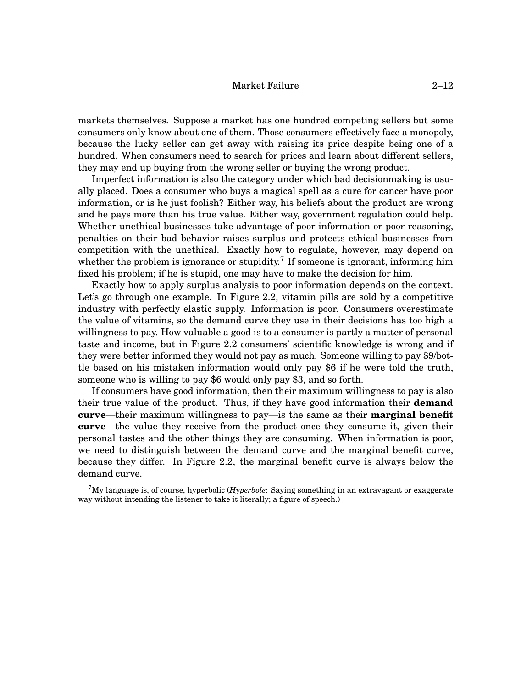markets themselves. Suppose a market has one hundred competing sellers but some consumers only know about one of them. Those consumers effectively face a monopoly, because the lucky seller can get away with raising its price despite being one of a hundred. When consumers need to search for prices and learn about different sellers, they may end up buying from the wrong seller or buying the wrong product.

Imperfect information is also the category under which bad decisionmaking is usually placed. Does a consumer who buys a magical spell as a cure for cancer have poor information, or is he just foolish? Either way, his beliefs about the product are wrong and he pays more than his true value. Either way, government regulation could help. Whether unethical businesses take advantage of poor information or poor reasoning, penalties on their bad behavior raises surplus and protects ethical businesses from competition with the unethical. Exactly how to regulate, however, may depend on whether the problem is ignorance or stupidity.<sup>[7](#page-0-1)</sup> If someone is ignorant, informing him fixed his problem; if he is stupid, one may have to make the decision for him.

Exactly how to apply surplus analysis to poor information depends on the context. Let's go through one example. In Figure 2[.2,](#page-12-0) vitamin pills are sold by a competitive industry with perfectly elastic supply. Information is poor. Consumers overestimate the value of vitamins, so the demand curve they use in their decisions has too high a willingness to pay. How valuable a good is to a consumer is partly a matter of personal taste and income, but in Figure 2[.2](#page-12-0) consumers' scientific knowledge is wrong and if they were better informed they would not pay as much. Someone willing to pay \$9/bottle based on his mistaken information would only pay \$6 if he were told the truth, someone who is willing to pay \$6 would only pay \$3, and so forth.

If consumers have good information, then their maximum willingness to pay is also their true value of the product. Thus, if they have good information their **demand curve**—their maximum willingness to pay—is the same as their **marginal benefit curve**—the value they receive from the product once they consume it, given their personal tastes and the other things they are consuming. When information is poor, we need to distinguish between the demand curve and the marginal benefit curve, because they differ. In Figure 2[.2,](#page-12-0) the marginal benefit curve is always below the demand curve.

<sup>7</sup>My language is, of course, hyperbolic (*Hyperbole*: Saying something in an extravagant or exaggerate way without intending the listener to take it literally; a figure of speech.)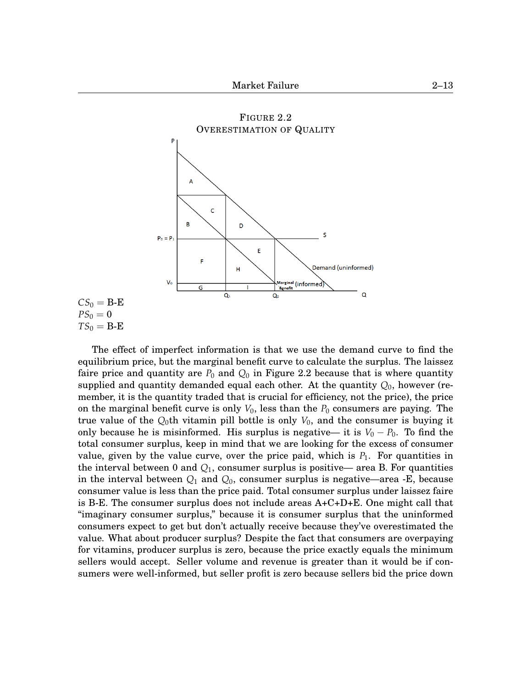<span id="page-12-0"></span>

 $CS_0 = B - E$  $PS_0 = 0$  $TS_0 = B - E$ 

The effect of imperfect information is that we use the demand curve to find the equilibrium price, but the marginal benefit curve to calculate the surplus. The laissez faire price and quantity are  $P_0$  and  $Q_0$  in Figure 2[.2](#page-12-0) because that is where quantity supplied and quantity demanded equal each other. At the quantity *Q*0, however (remember, it is the quantity traded that is crucial for efficiency, not the price), the price on the marginal benefit curve is only  $V_0$ , less than the  $P_0$  consumers are paying. The true value of the  $Q_0$ th vitamin pill bottle is only  $V_0$ , and the consumer is buying it only because he is misinformed. His surplus is negative— it is  $V_0 - P_0$ . To find the total consumer surplus, keep in mind that we are looking for the excess of consumer value, given by the value curve, over the price paid, which is  $P_1$ . For quantities in the interval between 0 and *Q*1, consumer surplus is positive— area B. For quantities in the interval between *Q*<sup>1</sup> and *Q*0, consumer surplus is negative—area -E, because consumer value is less than the price paid. Total consumer surplus under laissez faire is B-E. The consumer surplus does not include areas A+C+D+E. One might call that "imaginary consumer surplus," because it is consumer surplus that the uninformed consumers expect to get but don't actually receive because they've overestimated the value. What about producer surplus? Despite the fact that consumers are overpaying for vitamins, producer surplus is zero, because the price exactly equals the minimum sellers would accept. Seller volume and revenue is greater than it would be if consumers were well-informed, but seller profit is zero because sellers bid the price down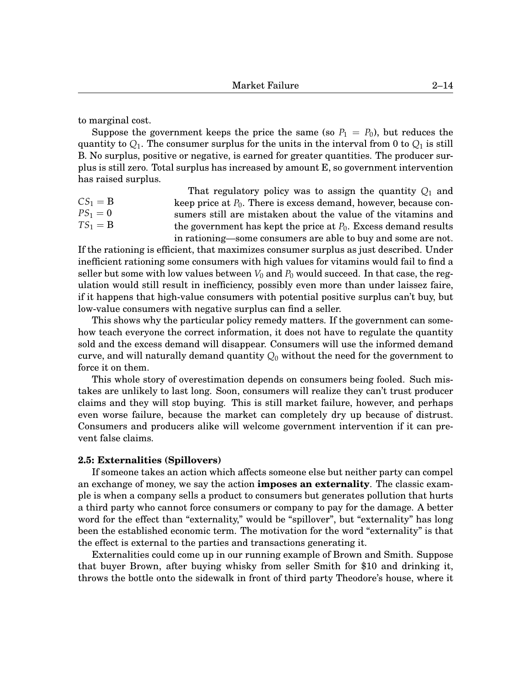to marginal cost.

Suppose the government keeps the price the same (so  $P_1 = P_0$ ), but reduces the quantity to  $Q_1$ . The consumer surplus for the units in the interval from 0 to  $Q_1$  is still B. No surplus, positive or negative, is earned for greater quantities. The producer surplus is still zero. Total surplus has increased by amount E, so government intervention has raised surplus.

 $CS_1 = B$  $PS_1 = 0$  $TS_1 = B$ That regulatory policy was to assign the quantity  $Q_1$  and keep price at  $P_0$ . There is excess demand, however, because consumers still are mistaken about the value of the vitamins and the government has kept the price at *P*0. Excess demand results in rationing—some consumers are able to buy and some are not.

If the rationing is efficient, that maximizes consumer surplus as just described. Under inefficient rationing some consumers with high values for vitamins would fail to find a seller but some with low values between  $V_0$  and  $P_0$  would succeed. In that case, the regulation would still result in inefficiency, possibly even more than under laissez faire, if it happens that high-value consumers with potential positive surplus can't buy, but low-value consumers with negative surplus can find a seller.

This shows why the particular policy remedy matters. If the government can somehow teach everyone the correct information, it does not have to regulate the quantity sold and the excess demand will disappear. Consumers will use the informed demand curve, and will naturally demand quantity  $Q_0$  without the need for the government to force it on them.

This whole story of overestimation depends on consumers being fooled. Such mistakes are unlikely to last long. Soon, consumers will realize they can't trust producer claims and they will stop buying. This is still market failure, however, and perhaps even worse failure, because the market can completely dry up because of distrust. Consumers and producers alike will welcome government intervention if it can prevent false claims.

# **2.5: Externalities (Spillovers)**

If someone takes an action which affects someone else but neither party can compel an exchange of money, we say the action **imposes an externality**. The classic example is when a company sells a product to consumers but generates pollution that hurts a third party who cannot force consumers or company to pay for the damage. A better word for the effect than "externality," would be "spillover", but "externality" has long been the established economic term. The motivation for the word "externality" is that the effect is external to the parties and transactions generating it.

Externalities could come up in our running example of Brown and Smith. Suppose that buyer Brown, after buying whisky from seller Smith for \$10 and drinking it, throws the bottle onto the sidewalk in front of third party Theodore's house, where it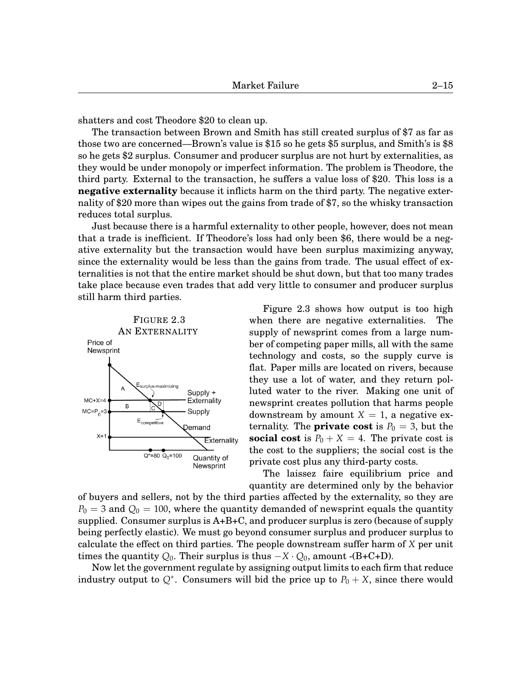shatters and cost Theodore \$20 to clean up.

The transaction between Brown and Smith has still created surplus of \$7 as far as those two are concerned—Brown's value is \$15 so he gets \$5 surplus, and Smith's is \$8 so he gets \$2 surplus. Consumer and producer surplus are not hurt by externalities, as they would be under monopoly or imperfect information. The problem is Theodore, the third party. External to the transaction, he suffers a value loss of \$20. This loss is a **negative externality** because it inflicts harm on the third party. The negative externality of \$20 more than wipes out the gains from trade of \$7, so the whisky transaction reduces total surplus.

Just because there is a harmful externality to other people, however, does not mean that a trade is inefficient. If Theodore's loss had only been \$6, there would be a negative externality but the transaction would have been surplus maximizing anyway, since the externality would be less than the gains from trade. The usual effect of externalities is not that the entire market should be shut down, but that too many trades take place because even trades that add very little to consumer and producer surplus still harm third parties.



<span id="page-14-0"></span>Figure 2[.3](#page-14-0) shows how output is too high when there are negative externalities. The supply of newsprint comes from a large number of competing paper mills, all with the same technology and costs, so the supply curve is flat. Paper mills are located on rivers, because they use a lot of water, and they return polluted water to the river. Making one unit of newsprint creates pollution that harms people downstream by amount  $X = 1$ , a negative externality. The **private cost** is  $P_0 = 3$ , but the **social cost** is  $P_0 + X = 4$ . The private cost is the cost to the suppliers; the social cost is the private cost plus any third-party costs.

The laissez faire equilibrium price and quantity are determined only by the behavior

of buyers and sellers, not by the third parties affected by the externality, so they are  $P_0 = 3$  and  $Q_0 = 100$ , where the quantity demanded of newsprint equals the quantity supplied. Consumer surplus is A+B+C, and producer surplus is zero (because of supply being perfectly elastic). We must go beyond consumer surplus and producer surplus to calculate the effect on third parties. The people downstream suffer harm of *X* per unit times the quantity  $Q_0$ . Their surplus is thus  $-X \cdot Q_0$ , amount -(B+C+D).

Now let the government regulate by assigning output limits to each firm that reduce industry output to  $Q^*$ . Consumers will bid the price up to  $P_0 + X$ , since there would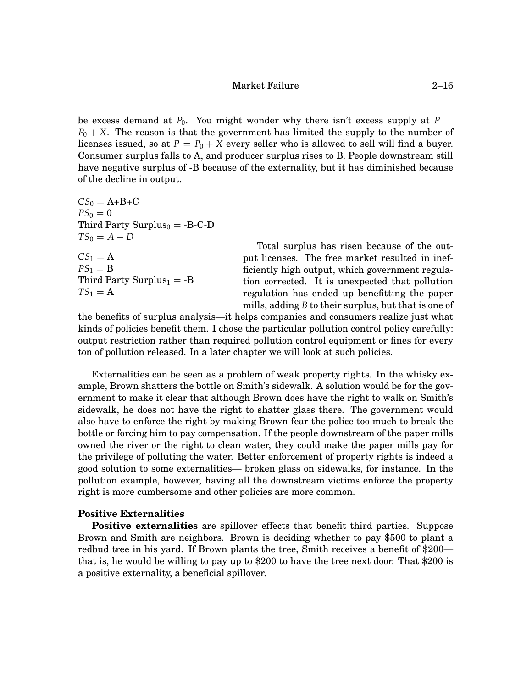be excess demand at  $P_0$ . You might wonder why there isn't excess supply at  $P =$ *P*<sup>0</sup> + *X*. The reason is that the government has limited the supply to the number of licenses issued, so at  $P = P_0 + X$  every seller who is allowed to sell will find a buyer. Consumer surplus falls to A, and producer surplus rises to B. People downstream still have negative surplus of -B because of the externality, but it has diminished because of the decline in output.

$$
CS0 = A+B+C\nPS0 = 0\nThird Party Surplus0 = -B-C-D\nTS0 = A - D\nCS1 = A\nPS1 = B\nThird Party Surplus1 = -B\nTS1 = A
$$

Total surplus has risen because of the output licenses. The free market resulted in inefficiently high output, which government regulation corrected. It is unexpected that pollution regulation has ended up benefitting the paper mills, adding *B* to their surplus, but that is one of

the benefits of surplus analysis—it helps companies and consumers realize just what kinds of policies benefit them. I chose the particular pollution control policy carefully: output restriction rather than required pollution control equipment or fines for every ton of pollution released. In a later chapter we will look at such policies.

Externalities can be seen as a problem of weak property rights. In the whisky example, Brown shatters the bottle on Smith's sidewalk. A solution would be for the government to make it clear that although Brown does have the right to walk on Smith's sidewalk, he does not have the right to shatter glass there. The government would also have to enforce the right by making Brown fear the police too much to break the bottle or forcing him to pay compensation. If the people downstream of the paper mills owned the river or the right to clean water, they could make the paper mills pay for the privilege of polluting the water. Better enforcement of property rights is indeed a good solution to some externalities— broken glass on sidewalks, for instance. In the pollution example, however, having all the downstream victims enforce the property right is more cumbersome and other policies are more common.

# **Positive Externalities**

**Positive externalities** are spillover effects that benefit third parties. Suppose Brown and Smith are neighbors. Brown is deciding whether to pay \$500 to plant a redbud tree in his yard. If Brown plants the tree, Smith receives a benefit of \$200 that is, he would be willing to pay up to \$200 to have the tree next door. That \$200 is a positive externality, a beneficial spillover.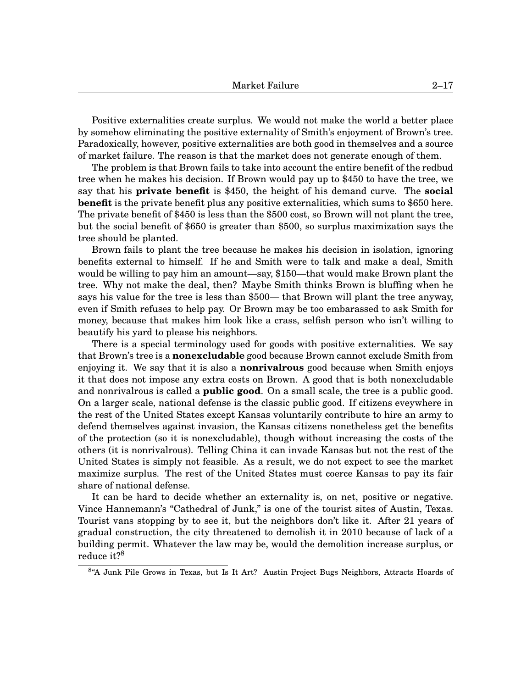Positive externalities create surplus. We would not make the world a better place by somehow eliminating the positive externality of Smith's enjoyment of Brown's tree. Paradoxically, however, positive externalities are both good in themselves and a source of market failure. The reason is that the market does not generate enough of them.

The problem is that Brown fails to take into account the entire benefit of the redbud tree when he makes his decision. If Brown would pay up to \$450 to have the tree, we say that his **private benefit** is \$450, the height of his demand curve. The **social benefit** is the private benefit plus any positive externalities, which sums to \$650 here. The private benefit of \$450 is less than the \$500 cost, so Brown will not plant the tree, but the social benefit of \$650 is greater than \$500, so surplus maximization says the tree should be planted.

Brown fails to plant the tree because he makes his decision in isolation, ignoring benefits external to himself. If he and Smith were to talk and make a deal, Smith would be willing to pay him an amount—say, \$150—that would make Brown plant the tree. Why not make the deal, then? Maybe Smith thinks Brown is bluffing when he says his value for the tree is less than \$500— that Brown will plant the tree anyway, even if Smith refuses to help pay. Or Brown may be too embarassed to ask Smith for money, because that makes him look like a crass, selfish person who isn't willing to beautify his yard to please his neighbors.

There is a special terminology used for goods with positive externalities. We say that Brown's tree is a **nonexcludable** good because Brown cannot exclude Smith from enjoying it. We say that it is also a **nonrivalrous** good because when Smith enjoys it that does not impose any extra costs on Brown. A good that is both nonexcludable and nonrivalrous is called a **public good**. On a small scale, the tree is a public good. On a larger scale, national defense is the classic public good. If citizens eveywhere in the rest of the United States except Kansas voluntarily contribute to hire an army to defend themselves against invasion, the Kansas citizens nonetheless get the benefits of the protection (so it is nonexcludable), though without increasing the costs of the others (it is nonrivalrous). Telling China it can invade Kansas but not the rest of the United States is simply not feasible. As a result, we do not expect to see the market maximize surplus. The rest of the United States must coerce Kansas to pay its fair share of national defense.

It can be hard to decide whether an externality is, on net, positive or negative. Vince Hannemann's "Cathedral of Junk," is one of the tourist sites of Austin, Texas. Tourist vans stopping by to see it, but the neighbors don't like it. After 21 years of gradual construction, the city threatened to demolish it in 2010 because of lack of a building permit. Whatever the law may be, would the demolition increase surplus, or  $\rm{reduce}$  it? $\rm{^8}$  $\rm{^8}$  $\rm{^8}$ 

<sup>&</sup>lt;sup>8</sup>"A Junk Pile Grows in Texas, but Is It Art? Austin Project Bugs Neighbors, Attracts Hoards of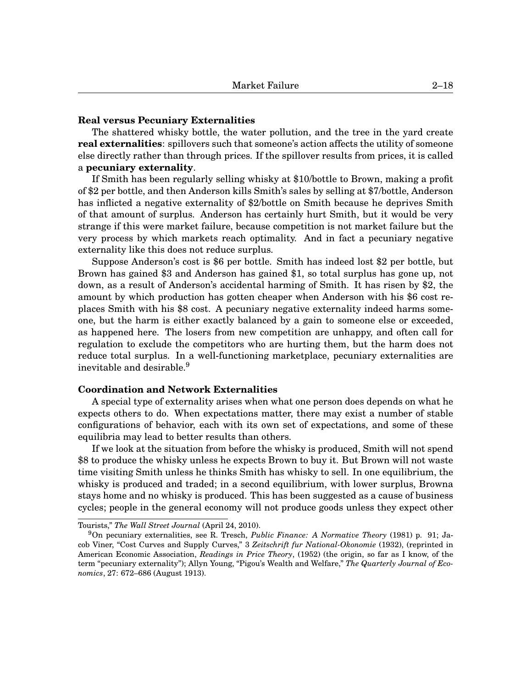## **Real versus Pecuniary Externalities**

The shattered whisky bottle, the water pollution, and the tree in the yard create **real externalities**: spillovers such that someone's action affects the utility of someone else directly rather than through prices. If the spillover results from prices, it is called a **pecuniary externality**.

If Smith has been regularly selling whisky at \$10/bottle to Brown, making a profit of \$2 per bottle, and then Anderson kills Smith's sales by selling at \$7/bottle, Anderson has inflicted a negative externality of \$2/bottle on Smith because he deprives Smith of that amount of surplus. Anderson has certainly hurt Smith, but it would be very strange if this were market failure, because competition is not market failure but the very process by which markets reach optimality. And in fact a pecuniary negative externality like this does not reduce surplus.

Suppose Anderson's cost is \$6 per bottle. Smith has indeed lost \$2 per bottle, but Brown has gained \$3 and Anderson has gained \$1, so total surplus has gone up, not down, as a result of Anderson's accidental harming of Smith. It has risen by \$2, the amount by which production has gotten cheaper when Anderson with his \$6 cost replaces Smith with his \$8 cost. A pecuniary negative externality indeed harms someone, but the harm is either exactly balanced by a gain to someone else or exceeded, as happened here. The losers from new competition are unhappy, and often call for regulation to exclude the competitors who are hurting them, but the harm does not reduce total surplus. In a well-functioning marketplace, pecuniary externalities are inevitable and desirable. $9$ 

# **Coordination and Network Externalities**

A special type of externality arises when what one person does depends on what he expects others to do. When expectations matter, there may exist a number of stable configurations of behavior, each with its own set of expectations, and some of these equilibria may lead to better results than others.

If we look at the situation from before the whisky is produced, Smith will not spend \$8 to produce the whisky unless he expects Brown to buy it. But Brown will not waste time visiting Smith unless he thinks Smith has whisky to sell. In one equilibrium, the whisky is produced and traded; in a second equilibrium, with lower surplus, Browna stays home and no whisky is produced. This has been suggested as a cause of business cycles; people in the general economy will not produce goods unless they expect other

Tourists," *The Wall Street Journal* (April 24, 2010).

<sup>9</sup>On pecuniary externalities, see R. Tresch, *Public Finance: A Normative Theory* (1981) p. 91; Jacob Viner, "Cost Curves and Supply Curves," 3 *Zeitschrift fur National-Okonomie* (1932), (reprinted in American Economic Association, *Readings in Price Theory*, (1952) (the origin, so far as I know, of the term "pecuniary externality"); Allyn Young, "Pigou's Wealth and Welfare," *The Quarterly Journal of Economics*, 27: 672–686 (August 1913).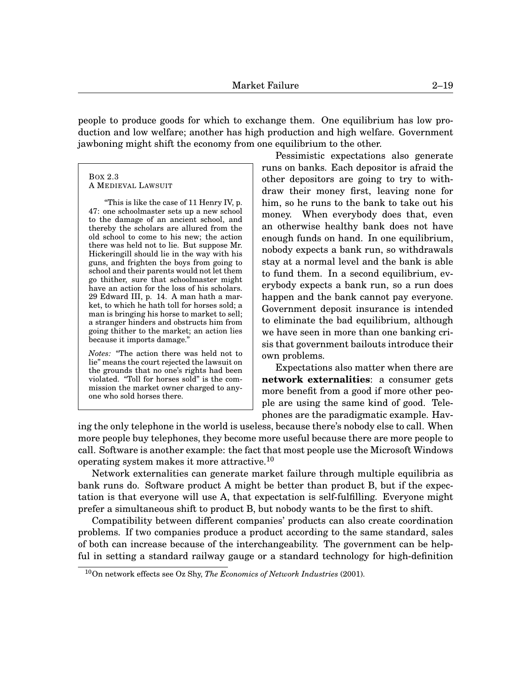people to produce goods for which to exchange them. One equilibrium has low production and low welfare; another has high production and high welfare. Government jawboning might shift the economy from one equilibrium to the other.

<span id="page-18-0"></span>BOX 2[.3](#page-18-0) A MEDIEVAL LAWSUIT

"This is like the case of 11 Henry IV, p. 47: one schoolmaster sets up a new school to the damage of an ancient school, and thereby the scholars are allured from the old school to come to his new; the action there was held not to lie. But suppose Mr. Hickeringill should lie in the way with his guns, and frighten the boys from going to school and their parents would not let them go thither, sure that schoolmaster might have an action for the loss of his scholars. 29 Edward III, p. 14. A man hath a market, to which he hath toll for horses sold; a man is bringing his horse to market to sell; a stranger hinders and obstructs him from going thither to the market; an action lies because it imports damage.'

*Notes:* "The action there was held not to lie" means the court rejected the lawsuit on the grounds that no one's rights had been violated. "Toll for horses sold" is the commission the market owner charged to anyone who sold horses there.

Pessimistic expectations also generate runs on banks. Each depositor is afraid the other depositors are going to try to withdraw their money first, leaving none for him, so he runs to the bank to take out his money. When everybody does that, even an otherwise healthy bank does not have enough funds on hand. In one equilibrium, nobody expects a bank run, so withdrawals stay at a normal level and the bank is able to fund them. In a second equilibrium, everybody expects a bank run, so a run does happen and the bank cannot pay everyone. Government deposit insurance is intended to eliminate the bad equilibrium, although we have seen in more than one banking crisis that government bailouts introduce their own problems.

Expectations also matter when there are **network externalities**: a consumer gets more benefit from a good if more other people are using the same kind of good. Telephones are the paradigmatic example. Hav-

ing the only telephone in the world is useless, because there's nobody else to call. When more people buy telephones, they become more useful because there are more people to call. Software is another example: the fact that most people use the Microsoft Windows operating system makes it more attractive.<sup>[10](#page-0-1)</sup>

Network externalities can generate market failure through multiple equilibria as bank runs do. Software product A might be better than product B, but if the expectation is that everyone will use A, that expectation is self-fulfilling. Everyone might prefer a simultaneous shift to product B, but nobody wants to be the first to shift.

Compatibility between different companies' products can also create coordination problems. If two companies produce a product according to the same standard, sales of both can increase because of the interchangeability. The government can be helpful in setting a standard railway gauge or a standard technology for high-definition

<sup>10</sup>On network effects see Oz Shy, *The Economics of Network Industries* (2001).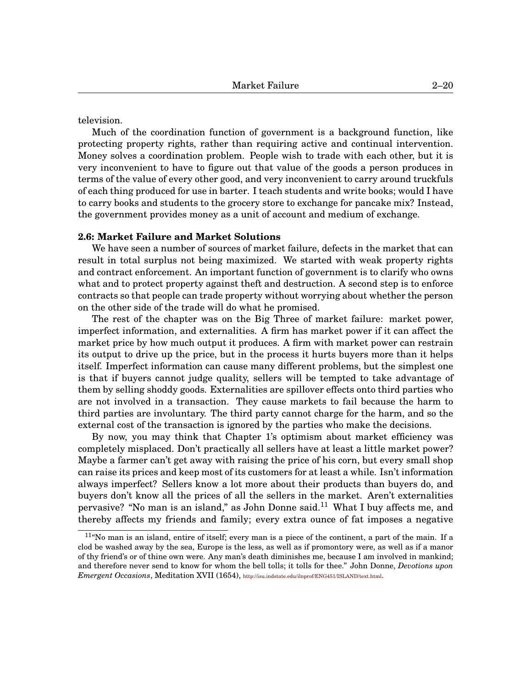television.

Much of the coordination function of government is a background function, like protecting property rights, rather than requiring active and continual intervention. Money solves a coordination problem. People wish to trade with each other, but it is very inconvenient to have to figure out that value of the goods a person produces in terms of the value of every other good, and very inconvenient to carry around truckfuls of each thing produced for use in barter. I teach students and write books; would I have to carry books and students to the grocery store to exchange for pancake mix? Instead, the government provides money as a unit of account and medium of exchange.

## **2.6: Market Failure and Market Solutions**

We have seen a number of sources of market failure, defects in the market that can result in total surplus not being maximized. We started with weak property rights and contract enforcement. An important function of government is to clarify who owns what and to protect property against theft and destruction. A second step is to enforce contracts so that people can trade property without worrying about whether the person on the other side of the trade will do what he promised.

The rest of the chapter was on the Big Three of market failure: market power, imperfect information, and externalities. A firm has market power if it can affect the market price by how much output it produces. A firm with market power can restrain its output to drive up the price, but in the process it hurts buyers more than it helps itself. Imperfect information can cause many different problems, but the simplest one is that if buyers cannot judge quality, sellers will be tempted to take advantage of them by selling shoddy goods. Externalities are spillover effects onto third parties who are not involved in a transaction. They cause markets to fail because the harm to third parties are involuntary. The third party cannot charge for the harm, and so the external cost of the transaction is ignored by the parties who make the decisions.

By now, you may think that Chapter 1's optimism about market efficiency was completely misplaced. Don't practically all sellers have at least a little market power? Maybe a farmer can't get away with raising the price of his corn, but every small shop can raise its prices and keep most of its customers for at least a while. Isn't information always imperfect? Sellers know a lot more about their products than buyers do, and buyers don't know all the prices of all the sellers in the market. Aren't externalities pervasive? "No man is an island," as John Donne said.<sup>[11](#page-0-1)</sup> What I buy affects me, and thereby affects my friends and family; every extra ounce of fat imposes a negative

 $11^{\circ}$ No man is an island, entire of itself; every man is a piece of the continent, a part of the main. If a clod be washed away by the sea, Europe is the less, as well as if promontory were, as well as if a manor of thy friend's or of thine own were. Any man's death diminishes me, because I am involved in mankind; and therefore never send to know for whom the bell tolls; it tolls for thee." John Donne, *Devotions upon Emergent Occasions*, Meditation XVII (1654), <http://isu.indstate.edu/ilnprof/ENG451/ISLAND/text.html>.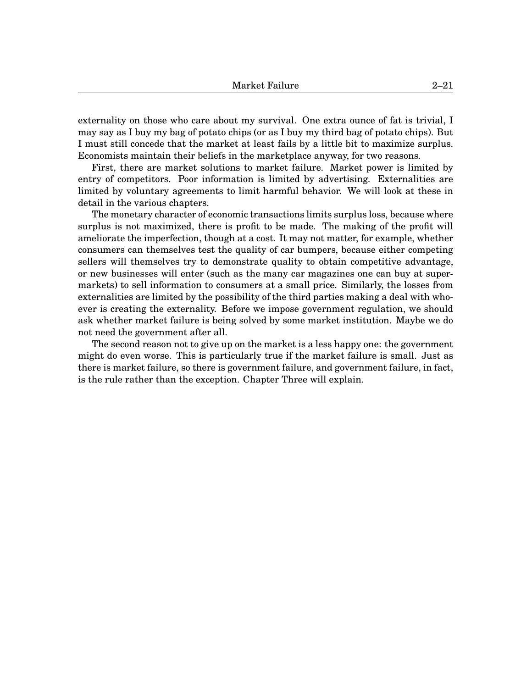externality on those who care about my survival. One extra ounce of fat is trivial, I may say as I buy my bag of potato chips (or as I buy my third bag of potato chips). But I must still concede that the market at least fails by a little bit to maximize surplus. Economists maintain their beliefs in the marketplace anyway, for two reasons.

First, there are market solutions to market failure. Market power is limited by entry of competitors. Poor information is limited by advertising. Externalities are limited by voluntary agreements to limit harmful behavior. We will look at these in detail in the various chapters.

The monetary character of economic transactions limits surplus loss, because where surplus is not maximized, there is profit to be made. The making of the profit will ameliorate the imperfection, though at a cost. It may not matter, for example, whether consumers can themselves test the quality of car bumpers, because either competing sellers will themselves try to demonstrate quality to obtain competitive advantage, or new businesses will enter (such as the many car magazines one can buy at supermarkets) to sell information to consumers at a small price. Similarly, the losses from externalities are limited by the possibility of the third parties making a deal with whoever is creating the externality. Before we impose government regulation, we should ask whether market failure is being solved by some market institution. Maybe we do not need the government after all.

The second reason not to give up on the market is a less happy one: the government might do even worse. This is particularly true if the market failure is small. Just as there is market failure, so there is government failure, and government failure, in fact, is the rule rather than the exception. Chapter Three will explain.